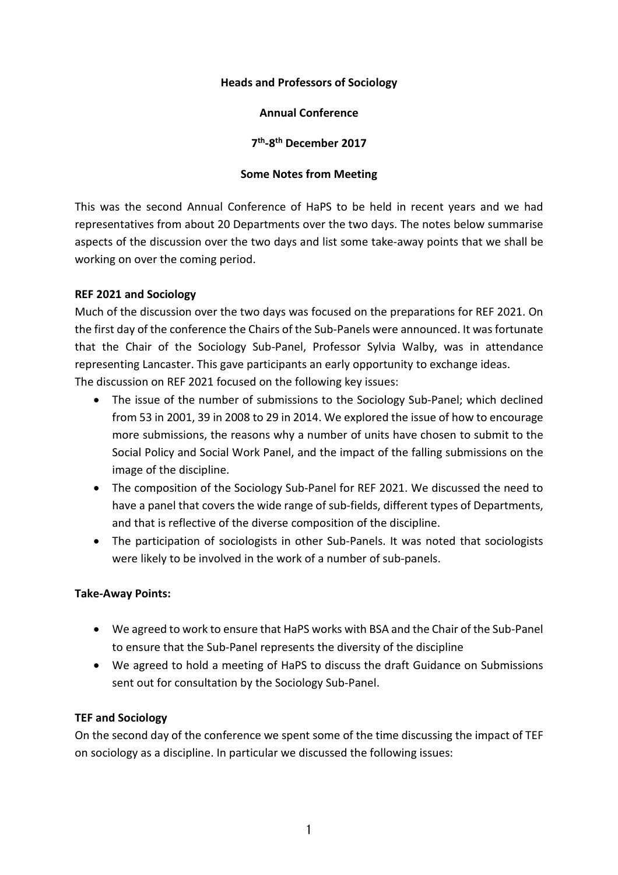## **Heads and Professors of Sociology**

## **Annual Conference**

**7th-8th December 2017**

#### **Some Notes from Meeting**

This was the second Annual Conference of HaPS to be held in recent years and we had representatives from about 20 Departments over the two days. The notes below summarise aspects of the discussion over the two days and list some take-away points that we shall be working on over the coming period.

## **REF 2021 and Sociology**

Much of the discussion over the two days was focused on the preparations for REF 2021. On the first day of the conference the Chairs of the Sub-Panels were announced. It was fortunate that the Chair of the Sociology Sub-Panel, Professor Sylvia Walby, was in attendance representing Lancaster. This gave participants an early opportunity to exchange ideas. The discussion on REF 2021 focused on the following key issues:

- The issue of the number of submissions to the Sociology Sub-Panel; which declined from 53 in 2001, 39 in 2008 to 29 in 2014. We explored the issue of how to encourage more submissions, the reasons why a number of units have chosen to submit to the Social Policy and Social Work Panel, and the impact of the falling submissions on the image of the discipline.
- The composition of the Sociology Sub-Panel for REF 2021. We discussed the need to have a panel that covers the wide range of sub-fields, different types of Departments, and that is reflective of the diverse composition of the discipline.
- The participation of sociologists in other Sub-Panels. It was noted that sociologists were likely to be involved in the work of a number of sub-panels.

## **Take-Away Points:**

- We agreed to work to ensure that HaPS works with BSA and the Chair of the Sub-Panel to ensure that the Sub-Panel represents the diversity of the discipline
- We agreed to hold a meeting of HaPS to discuss the draft Guidance on Submissions sent out for consultation by the Sociology Sub-Panel.

# **TEF and Sociology**

On the second day of the conference we spent some of the time discussing the impact of TEF on sociology as a discipline. In particular we discussed the following issues: